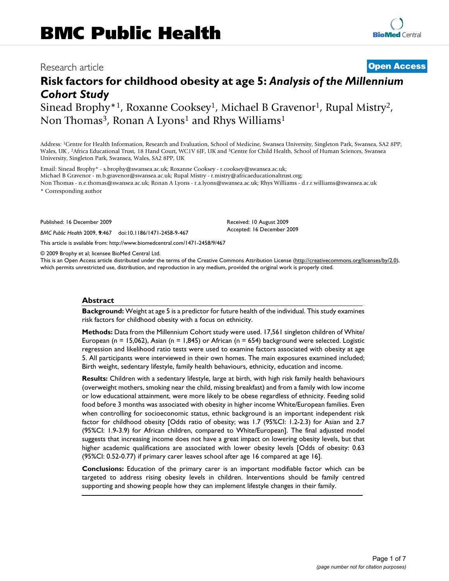# Research article **[Open Access](http://www.biomedcentral.com/info/about/charter/)**

# **Risk factors for childhood obesity at age 5:** *Analysis of the Millennium Cohort Study*

Sinead Brophy<sup>\*1</sup>, Roxanne Cooksey<sup>1</sup>, Michael B Gravenor<sup>1</sup>, Rupal Mistry<sup>2</sup>, Non Thomas<sup>3</sup>, Ronan A Lyons<sup>1</sup> and Rhys Williams<sup>1</sup>

Address: 1Centre for Health Information, Research and Evaluation, School of Medicine, Swansea University, Singleton Park, Swansea, SA2 8PP, Wales, UK , 2Africa Educational Trust, 18 Hand Court, WC1V 6JF, UK and 3Centre for Child Health, School of Human Sciences, Swansea University, Singleton Park, Swansea, Wales, SA2 8PP, UK

Email: Sinead Brophy\* - s.brophy@swansea.ac.uk; Roxanne Cooksey - r.cooksey@swansea.ac.uk; Michael B Gravenor - m.b.gravenor@swansea.ac.uk; Rupal Mistry - r.mistry@africaeducationaltrust.org; Non Thomas - n.e.thomas@swansea.ac.uk; Ronan A Lyons - r.a.lyons@swansea.ac.uk; Rhys Williams - d.r.r.williams@swansea.ac.uk

\* Corresponding author

Published: 16 December 2009

*BMC Public Health* 2009, **9**:467 doi:10.1186/1471-2458-9-467

[This article is available from: http://www.biomedcentral.com/1471-2458/9/467](http://www.biomedcentral.com/1471-2458/9/467)

© 2009 Brophy et al; licensee BioMed Central Ltd.

This is an Open Access article distributed under the terms of the Creative Commons Attribution License [\(http://creativecommons.org/licenses/by/2.0\)](http://creativecommons.org/licenses/by/2.0), which permits unrestricted use, distribution, and reproduction in any medium, provided the original work is properly cited.

Received: 10 August 2009 Accepted: 16 December 2009

#### **Abstract**

**Background:** Weight at age 5 is a predictor for future health of the individual. This study examines risk factors for childhood obesity with a focus on ethnicity.

**Methods:** Data from the Millennium Cohort study were used. 17,561 singleton children of White/ European (n = 15,062), Asian (n = 1,845) or African (n = 654) background were selected. Logistic regression and likelihood ratio tests were used to examine factors associated with obesity at age 5. All participants were interviewed in their own homes. The main exposures examined included; Birth weight, sedentary lifestyle, family health behaviours, ethnicity, education and income.

**Results:** Children with a sedentary lifestyle, large at birth, with high risk family health behaviours (overweight mothers, smoking near the child, missing breakfast) and from a family with low income or low educational attainment, were more likely to be obese regardless of ethnicity. Feeding solid food before 3 months was associated with obesity in higher income White/European families. Even when controlling for socioeconomic status, ethnic background is an important independent risk factor for childhood obesity [Odds ratio of obesity; was 1.7 (95%CI: 1.2-2.3) for Asian and 2.7 (95%CI: 1.9-3.9) for African children, compared to White/European]. The final adjusted model suggests that increasing income does not have a great impact on lowering obesity levels, but that higher academic qualifications are associated with lower obesity levels [Odds of obesity: 0.63 (95%CI: 0.52-0.77) if primary carer leaves school after age 16 compared at age 16].

**Conclusions:** Education of the primary carer is an important modifiable factor which can be targeted to address rising obesity levels in children. Interventions should be family centred supporting and showing people how they can implement lifestyle changes in their family.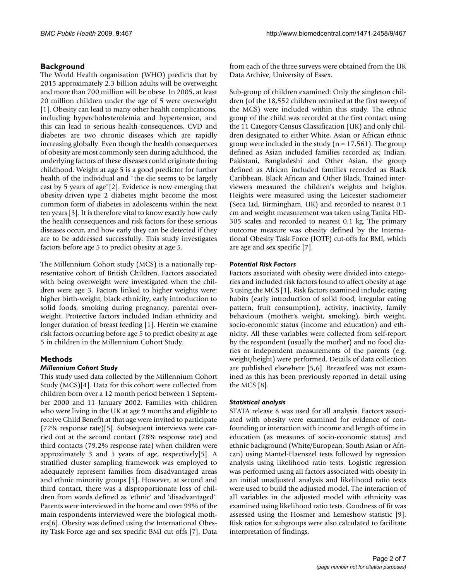# **Background**

The World Health organisation (WHO) predicts that by 2015 approximately 2.3 billion adults will be overweight and more than 700 million will be obese. In 2005, at least 20 million children under the age of 5 were overweight [1]. Obesity can lead to many other health complications, including hypercholesterolemia and hypertension, and this can lead to serious health consequences. CVD and diabetes are two chronic diseases which are rapidly increasing globally. Even though the health consequences of obesity are most commonly seen during adulthood, the underlying factors of these diseases could originate during childhood. Weight at age 5 is a good predictor for further health of the individual and "the die seems to be largely cast by 5 years of age"[2]. Evidence is now emerging that obesity-driven type 2 diabetes might become the most common form of diabetes in adolescents within the next ten years [3]. It is therefore vital to know exactly how early the health consequences and risk factors for these serious diseases occur, and how early they can be detected if they are to be addressed successfully. This study investigates factors before age 5 to predict obesity at age 5.

The Millennium Cohort study (MCS) is a nationally representative cohort of British Children. Factors associated with being overweight were investigated when the children were age 3. Factors linked to higher weights were: higher birth-weight, black ethnicity, early introduction to solid foods, smoking during pregnancy, parental overweight. Protective factors included Indian ethnicity and longer duration of breast feeding [1]. Herein we examine risk factors occurring before age 5 to predict obesity at age 5 in children in the Millennium Cohort Study.

# **Methods**

#### *Millennium Cohort Study*

This study used data collected by the Millennium Cohort Study (MCS)[4]. Data for this cohort were collected from children born over a 12 month period between 1 September 2000 and 11 January 2002. Families with children who were living in the UK at age 9 months and eligible to receive Child Benefit at that age were invited to participate (72% response rate)[5]. Subsequent interviews were carried out at the second contact (78% response rate) and third contacts (79.2% response rate) when children were approximately 3 and 5 years of age, respectively[5]. A stratified cluster sampling framework was employed to adequately represent families from disadvantaged areas and ethnic minority groups [5]. However, at second and third contact, there was a disproportionate loss of children from wards defined as 'ethnic' and 'disadvantaged'. Parents were interviewed in the home and over 99% of the main respondents interviewed were the biological mothers[6]. Obesity was defined using the International Obesity Task Force age and sex specific BMI cut offs [7]. Data

from each of the three surveys were obtained from the UK Data Archive, University of Essex.

Sub-group of children examined: Only the singleton children (of the 18,552 children recruited at the first sweep of the MCS) were included within this study. The ethnic group of the child was recorded at the first contact using the 11 Category Census Classification (UK) and only children designated to either White, Asian or African ethnic group were included in the study ( $n = 17,561$ ). The group defined as Asian included families recorded as; Indian, Pakistani, Bangladeshi and Other Asian, the group defined as African included families recorded as Black Caribbean, Black African and Other Black. Trained interviewers measured the children's weights and heights. Heights were measured using the Leicester stadiometer (Seca Ltd, Birmingham, UK) and recorded to nearest 0.1 cm and weight measurement was taken using Tanita HD-305 scales and recorded to nearest 0.1 kg. The primary outcome measure was obesity defined by the International Obesity Task Force (IOTF) cut-offs for BMI, which are age and sex specific [7].

#### *Potential Risk Factors*

Factors associated with obesity were divided into categories and included risk factors found to affect obesity at age 3 using the MCS [1]. Risk factors examined include; eating habits (early introduction of solid food, irregular eating pattern, fruit consumption), activity, inactivity, family behaviours (mother's weight, smoking), birth weight, socio-economic status (income and education) and ethnicity. All these variables were collected from self-report by the respondent (usually the mother) and no food diaries or independent measurements of the parents (e.g. weight/height) were performed. Details of data collection are published elsewhere [5,6]. Breastfeed was not examined as this has been previously reported in detail using the MCS [8].

#### *Statistical analysis*

STATA release 8 was used for all analysis. Factors associated with obesity were examined for evidence of confounding or interaction with income and length of time in education (as measures of socio-economic status) and ethnic background (White/European, South Asian or African) using Mantel-Haenszel tests followed by regression analysis using likelihood ratio tests. Logistic regression was performed using all factors associated with obesity in an initial unadjusted analysis and likelihood ratio tests were used to build the adjusted model. The interaction of all variables in the adjusted model with ethnicity was examined using likelihood ratio tests. Goodness of fit was assessed using the Hosmer and Lemeshow statistic [9]. Risk ratios for subgroups were also calculated to facilitate interpretation of findings.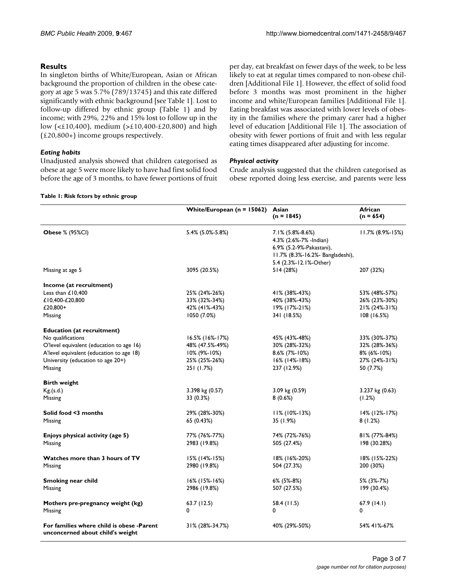**Table 1: Risk fctors by ethnic group**

### **Results**

In singleton births of White/European, Asian or African background the proportion of children in the obese category at age 5 was 5.7% (789/13745) and this rate differed significantly with ethnic background [see Table 1]. Lost to follow-up differed by ethnic group (Table 1) and by income; with 29%, 22% and 15% lost to follow up in the low (<£10,400), medium (>£10,400-£20,800) and high (£20,800+) income groups respectively.

#### *Eating habits*

Unadjusted analysis showed that children categorised as obese at age 5 were more likely to have had first solid food before the age of 3 months, to have fewer portions of fruit

#### per day, eat breakfast on fewer days of the week, to be less likely to eat at regular times compared to non-obese children [Additional File 1]. However, the effect of solid food before 3 months was most prominent in the higher income and white/European families [Additional File 1]. Eating breakfast was associated with lower levels of obesity in the families where the primary carer had a higher level of education [Additional File 1]. The association of obesity with fewer portions of fruit and with less regular eating times disappeared after adjusting for income.

#### *Physical activity*

Crude analysis suggested that the children categorised as obese reported doing less exercise, and parents were less

|                                                                               | White/European ( $n = 15062$ ) | Asian<br>$(n = 1845)$                                                                                                                | African<br>$(n = 654)$ |
|-------------------------------------------------------------------------------|--------------------------------|--------------------------------------------------------------------------------------------------------------------------------------|------------------------|
| <b>Obese % (95%Cl)</b>                                                        | 5.4% (5.0%-5.8%)               | 7.1% (5.8%-8.6%)<br>4.3% (2.6%-7% -Indian)<br>6.9% (5.2-9%-Pakastani),<br>11.7% (8.3%-16.2%- Bangladeshi),<br>5.4 (2.3%-12.1%-Other) | $11.7\%$ (8.9%-15%)    |
| Missing at age 5                                                              | 3095 (20.5%)                   | 514 (28%)                                                                                                                            | 207 (32%)              |
| Income (at recruitment)                                                       |                                |                                                                                                                                      |                        |
| Less than £10,400                                                             | 25% (24%-26%)                  | 41% (38%-43%)                                                                                                                        | 53% (48%-57%)          |
| £10,400-£20,800                                                               | 33% (32%-34%)                  | 40% (38%-43%)                                                                                                                        | 26% (23%-30%)          |
| £20,800+                                                                      | 42% (41%-43%)                  | 19% (17%-21%)                                                                                                                        | 21% (24%-31%)          |
|                                                                               |                                |                                                                                                                                      |                        |
| Missing                                                                       | 1050 (7.0%)                    | 341 (18.5%)                                                                                                                          | 108(16.5%)             |
| <b>Education (at recruitment)</b>                                             |                                |                                                                                                                                      |                        |
| No qualifications                                                             | 16.5% (16%-17%)                | 45% (43%-48%)                                                                                                                        | 33% (30%-37%)          |
| O'level equivalent (education to age 16)                                      | 48% (47.5%-49%)                | 30% (28%-32%)                                                                                                                        | 32% (28%-36%)          |
| A'level equivalent (education to age 18)                                      | 10% (9%-10%)                   | 8.6% (7%-10%)                                                                                                                        | 8% (6%-10%)            |
| University (education to age 20+)                                             | 25% (25%-26%)                  | $16\%$ (14%-18%)                                                                                                                     | 27% (24%-31%)          |
| Missing                                                                       | 251 (1.7%)                     | 237 (12.9%)                                                                                                                          | 50 (7.7%)              |
| <b>Birth weight</b>                                                           |                                |                                                                                                                                      |                        |
| Kg.(s.d.)                                                                     | 3.398 kg (0.57)                | 3.09 kg (0.59)                                                                                                                       | $3.237$ kg $(0.63)$    |
| Missing                                                                       | 33 (0.3%)                      | 8(0.6%)                                                                                                                              | (1.2%)                 |
|                                                                               |                                |                                                                                                                                      |                        |
| Solid food <3 months                                                          | 29% (28%-30%)                  | $11\%$ (10%-13%)                                                                                                                     | 14% (12%-17%)          |
| Missing                                                                       | 65 (0.43%)                     | 35 (1.9%)                                                                                                                            | 8(1.2%)                |
| Enjoys physical activity (age 5)                                              | 77% (76%-77%)                  | 74% (72%-76%)                                                                                                                        | 81% (77%-84%)          |
| Missing                                                                       | 2983 (19.8%)                   | 505 (27.4%)                                                                                                                          | 198 (30.28%)           |
|                                                                               |                                |                                                                                                                                      |                        |
| Watches more than 3 hours of TV                                               | 15% (14%-15%)                  | 18% (16%-20%)                                                                                                                        | 18% (15%-22%)          |
| Missing                                                                       | 2980 (19.8%)                   | 504 (27.3%)                                                                                                                          | 200 (30%)              |
| Smoking near child                                                            | $16\%$ (15%-16%)               | 6% (5%-8%)                                                                                                                           | 5% (3%-7%)             |
| Missing                                                                       | 2986 (19.8%)                   | 507 (27.5%)                                                                                                                          | 199 (30.4%)            |
|                                                                               |                                |                                                                                                                                      |                        |
| Mothers pre-pregnancy weight (kg)                                             | 63.7(12.5)                     | 58.4 (11.5)                                                                                                                          | 67.9 (14.1)            |
| Missing                                                                       | 0                              | $\Omega$                                                                                                                             | 0                      |
|                                                                               |                                |                                                                                                                                      |                        |
| For families where child is obese -Parent<br>unconcerned about child's weight | 31% (28%-34.7%)                | 40% (29%-50%)                                                                                                                        | 54% 41%-67%            |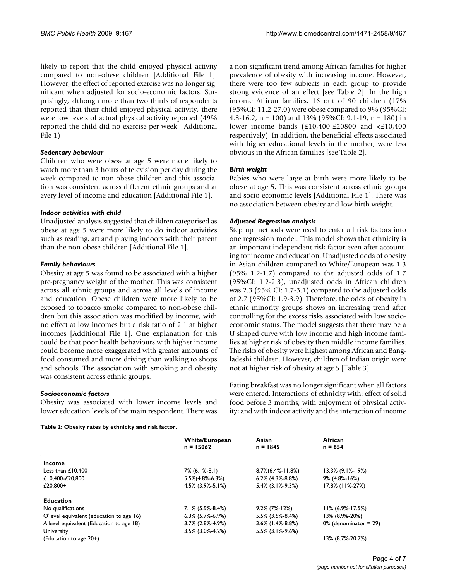likely to report that the child enjoyed physical activity compared to non-obese children [Additional File 1]. However, the effect of reported exercise was no longer significant when adjusted for socio-economic factors. Surprisingly, although more than two thirds of respondents reported that their child enjoyed physical activity, there were low levels of actual physical activity reported (49% reported the child did no exercise per week - Additional File 1)

#### *Sedentary behaviour*

Children who were obese at age 5 were more likely to watch more than 3 hours of television per day during the week compared to non-obese children and this association was consistent across different ethnic groups and at every level of income and education [Additional File 1].

#### *Indoor activities with child*

Unadjusted analysis suggested that children categorised as obese at age 5 were more likely to do indoor activities such as reading, art and playing indoors with their parent than the non-obese children [Additional File 1].

#### *Family behaviours*

Obesity at age 5 was found to be associated with a higher pre-pregnancy weight of the mother. This was consistent across all ethnic groups and across all levels of income and education. Obese children were more likely to be exposed to tobacco smoke compared to non-obese children but this association was modified by income, with no effect at low incomes but a risk ratio of 2.1 at higher incomes [Additional File 1]. One explanation for this could be that poor health behaviours with higher income could become more exaggerated with greater amounts of food consumed and more driving than walking to shops and schools. The association with smoking and obesity was consistent across ethnic groups.

#### *Socioeconomic factors*

Obesity was associated with lower income levels and lower education levels of the main respondent. There was

**Table 2: Obesity rates by ethnicity and risk factor.**

a non-significant trend among African families for higher prevalence of obesity with increasing income. However, there were too few subjects in each group to provide strong evidence of an effect [see Table 2]. In the high income African families, 16 out of 90 children (17% (95%CI: 11.2-27.0) were obese compared to 9% (95%CI: 4.8-16.2, n = 100) and 13% (95%CI: 9.1-19, n = 180) in lower income bands (£10,400-£20800 and <£10,400 respectively). In addition, the beneficial effects associated with higher educational levels in the mother, were less obvious in the African families [see Table 2].

#### *Birth weight*

Babies who were large at birth were more likely to be obese at age 5, This was consistent across ethnic groups and socio-economic levels [Additional File 1]. There was no association between obesity and low birth weight.

#### *Adjusted Regression analysis*

Step up methods were used to enter all risk factors into one regression model. This model shows that ethnicity is an important independent risk factor even after accounting for income and education. Unadjusted odds of obesity in Asian children compared to White/European was 1.3 (95% 1.2-1.7) compared to the adjusted odds of 1.7 (95%CI: 1.2-2.3), unadjusted odds in African children was 2.3 (95% CI: 1.7-3.1) compared to the adjusted odds of 2.7 (95%CI: 1.9-3.9). Therefore, the odds of obesity in ethnic minority groups shows an increasing trend after controlling for the excess risks associated with low socioeconomic status. The model suggests that there may be a U shaped curve with low income and high income families at higher risk of obesity then middle income families. The risks of obesity were highest among African and Bangladeshi children. However, children of Indian origin were not at higher risk of obesity at age 5 [Table 3].

Eating breakfast was no longer significant when all factors were entered. Interactions of ethnicity with: effect of solid food before 3 months; with enjoyment of physical activity; and with indoor activity and the interaction of income

|                                          | <b>White/European</b>  | Asian                | African                  |  |
|------------------------------------------|------------------------|----------------------|--------------------------|--|
|                                          | $n = 15062$            | $n = 1845$           | $n = 654$                |  |
| Income                                   |                        |                      |                          |  |
| Less than $£10,400$                      | 7% (6.1%-8.1)          | $8.7\%$ (6.4%-11.8%) | $13.3\%$ (9.1%-19%)      |  |
| £10,400-£20,800                          | $5.5\%(4.8\% - 6.3\%)$ | $6.2\%$ (4.3%-8.8%)  | 9% (4.8%-16%)            |  |
| £20,800+                                 | $4.5\%$ (3.9%-5.1%)    | $5.4\%$ (3.1%-9.3%)  | 17.8% (11%-27%)          |  |
| <b>Education</b>                         |                        |                      |                          |  |
| No qualifications                        | $7.1\%$ (5.9%-8.4%)    | $9.2\%$ (7%-12%)     | $11\%$ (6.9%-17.5%)      |  |
| O'level equivalent (education to age 16) | $6.3\%$ (5.7%-6.9%)    | 5.5% (3.5%-8.4%)     | 13% (8.9%-20%)           |  |
| A'level equivalent (Education to age 18) | $3.7\%$ (2.8%-4.9%)    | $3.6\%$ (1.4%-8.8%)  | $0\%$ (denominator = 29) |  |
| University                               | $3.5\%$ (3.0%-4.2%)    | $5.5\%$ (3.1%-9.6%)  |                          |  |
| (Education to age 20+)                   |                        |                      | 13% (8.7%-20.7%)         |  |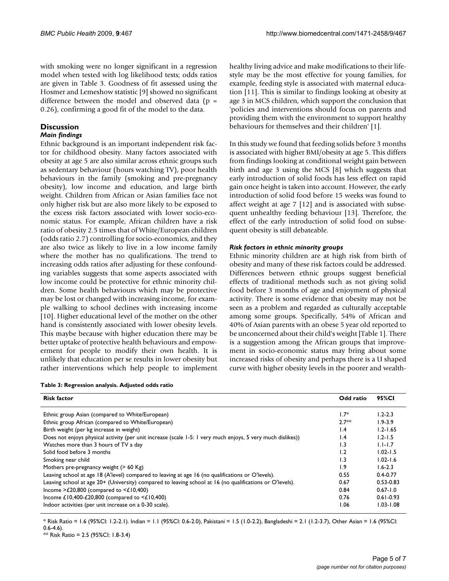with smoking were no longer significant in a regression model when tested with log likelihood tests; odds ratios are given in Table 3. Goodness of fit assessed using the Hosmer and Lemeshow statistic [9] showed no significant difference between the model and observed data ( $p =$ 0.26), confirming a good fit of the model to the data.

# **Discussion**

#### *Main findings*

Ethnic background is an important independent risk factor for childhood obesity. Many factors associated with obesity at age 5 are also similar across ethnic groups such as sedentary behaviour (hours watching TV), poor health behaviours in the family (smoking and pre-pregnancy obesity), low income and education, and large birth weight. Children from African or Asian families face not only higher risk but are also more likely to be exposed to the excess risk factors associated with lower socio-economic status. For example, African children have a risk ratio of obesity 2.5 times that of White/European children (odds ratio 2.7) controlling for socio-economics, and they are also twice as likely to live in a low income family where the mother has no qualifications. The trend to increasing odds ratios after adjusting for these confounding variables suggests that some aspects associated with low income could be protective for ethnic minority children. Some health behaviours which may be protective may be lost or changed with increasing income, for example walking to school declines with increasing income [10]. Higher educational level of the mother on the other hand is consistently associated with lower obesity levels. This maybe because with higher education there may be better uptake of protective health behaviours and empowerment for people to modify their own health. It is unlikely that education per se results in lower obesity but rather interventions which help people to implement

| Table 3: Regression analysis. Adjusted odds ratio |  |  |
|---------------------------------------------------|--|--|
|                                                   |  |  |

healthy living advice and make modifications to their lifestyle may be the most effective for young families, for example, feeding style is associated with maternal education [11]. This is similar to findings looking at obesity at age 3 in MCS children, which support the conclusion that 'policies and interventions should focus on parents and providing them with the environment to support healthy behaviours for themselves and their children' [1].

In this study we found that feeding solids before 3 months is associated with higher BMI/obesity at age 5. This differs from findings looking at conditional weight gain between birth and age 3 using the MCS [8] which suggests that early introduction of solid foods has less effect on rapid gain once height is taken into account. However, the early introduction of solid food before 15 weeks was found to affect weight at age 7 [12] and is associated with subsequent unhealthy feeding behaviour [13]. Therefore, the effect of the early introduction of solid food on subsequent obesity is still debateable.

#### *Risk factors in ethnic minority groups*

Ethnic minority children are at high risk from birth of obesity and many of these risk factors could be addressed. Differences between ethnic groups suggest beneficial effects of traditional methods such as not giving solid food before 3 months of age and enjoyment of physical activity. There is some evidence that obesity may not be seen as a problem and regarded as culturally acceptable among some groups. Specifically, 54% of African and 40% of Asian parents with an obese 5 year old reported to be unconcerned about their child's weight [Table 1]. There is a suggestion among the African groups that improvement in socio-economic status may bring about some increased risks of obesity and perhaps there is a U shaped curve with higher obesity levels in the poorer and wealth-

| <b>Risk factor</b>                                                                                          | Odd ratio | 95%CI         |
|-------------------------------------------------------------------------------------------------------------|-----------|---------------|
| Ethnic group Asian (compared to White/European)                                                             | $1.7*$    | $1.2 - 2.3$   |
| Ethnic group African (compared to White/European)                                                           | $2.7**$   | $1.9 - 3.9$   |
| Birth weight (per kg increase in weight)                                                                    | 1.4       | $1.2 - 1.65$  |
| Does not enjoys physical activity (per unit increase (scale 1-5: 1 very much enjoys, 5 very much dislikes)) | 1.4       | $1.2 - 1.5$   |
| Watches more than 3 hours of TV a day                                                                       | 1.3       | $1.1 - 1.7$   |
| Solid food before 3 months                                                                                  | 1.2       | $1.02 - 1.5$  |
| Smoking near child                                                                                          | 1.3       | $1.02 - 1.6$  |
| Mothers pre-pregnancy weight $($ > 60 Kg)                                                                   | 1.9       | $1.6 - 2.3$   |
| Leaving school at age 18 (A'level) compared to leaving at age 16 (no qualifications or O'levels).           | 0.55      | $0.4 - 0.77$  |
| Leaving school at age 20+ (University) compared to leaving school at 16 (no qualifications or O'levels).    | 0.67      | $0.53 - 0.83$ |
| Income >£20,800 (compared to $\leq$ 10,400)                                                                 | 0.84      | $0.67 - 1.0$  |
| Income £10,400-£20,800 (compared to $\leq$ £10,400)                                                         | 0.76      | $0.61 - 0.93$ |
| Indoor activities (per unit increase on a 0-30 scale).                                                      | 1.06      | $1.03 - 1.08$ |

\* Risk Ratio = 1.6 (95%CI: 1.2-2.1). Indian = 1.1 (95%CI: 0.6-2.0), Pakistani = 1.5 (1.0-2.2), Bangladeshi = 2.1 (1.2-3.7), Other Asian = 1.6 (95%CI: 0.6-4.6).

\*\* Risk Ratio = 2.5 (95%CI: 1.8-3.4)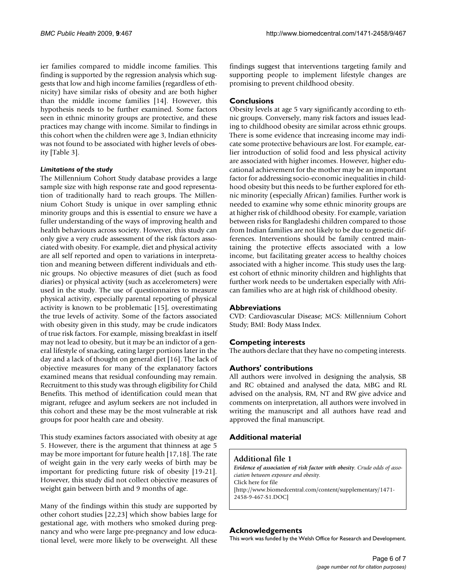ier families compared to middle income families. This finding is supported by the regression analysis which suggests that low and high income families (regardless of ethnicity) have similar risks of obesity and are both higher than the middle income families [14]. However, this hypothesis needs to be further examined. Some factors seen in ethnic minority groups are protective, and these practices may change with income. Similar to findings in this cohort when the children were age 3, Indian ethnicity was not found to be associated with higher levels of obesity [Table 3].

#### *Limitations of the study*

The Millennium Cohort Study database provides a large sample size with high response rate and good representation of traditionally hard to reach groups. The Millennium Cohort Study is unique in over sampling ethnic minority groups and this is essential to ensure we have a fuller understanding of the ways of improving health and health behaviours across society. However, this study can only give a very crude assessment of the risk factors associated with obesity. For example, diet and physical activity are all self reported and open to variations in interpretation and meaning between different individuals and ethnic groups. No objective measures of diet (such as food diaries) or physical activity (such as accelerometers) were used in the study. The use of questionnaires to measure physical activity, especially parental reporting of physical activity is known to be problematic [15], overestimating the true levels of activity. Some of the factors associated with obesity given in this study, may be crude indicators of true risk factors. For example, missing breakfast in itself may not lead to obesity, but it may be an indictor of a general lifestyle of snacking, eating larger portions later in the day and a lack of thought on general diet [16]. The lack of objective measures for many of the explanatory factors examined means that residual confounding may remain. Recruitment to this study was through eligibility for Child Benefits. This method of identification could mean that migrant, refugee and asylum seekers are not included in this cohort and these may be the most vulnerable at risk groups for poor health care and obesity.

This study examines factors associated with obesity at age 5. However, there is the argument that thinness at age 5 may be more important for future health [17,18]. The rate of weight gain in the very early weeks of birth may be important for predicting future risk of obesity [19-21]. However, this study did not collect objective measures of weight gain between birth and 9 months of age.

Many of the findings within this study are supported by other cohort studies [22,23] which show babies large for gestational age, with mothers who smoked during pregnancy and who were large pre-pregnancy and low educational level, were more likely to be overweight. All these findings suggest that interventions targeting family and supporting people to implement lifestyle changes are promising to prevent childhood obesity.

# **Conclusions**

Obesity levels at age 5 vary significantly according to ethnic groups. Conversely, many risk factors and issues leading to childhood obesity are similar across ethnic groups. There is some evidence that increasing income may indicate some protective behaviours are lost. For example, earlier introduction of solid food and less physical activity are associated with higher incomes. However, higher educational achievement for the mother may be an important factor for addressing socio-economic inequalities in childhood obesity but this needs to be further explored for ethnic minority (especially African) families. Further work is needed to examine why some ethnic minority groups are at higher risk of childhood obesity. For example, variation between risks for Bangladeshi children compared to those from Indian families are not likely to be due to genetic differences. Interventions should be family centred maintaining the protective effects associated with a low income, but facilitating greater access to healthy choices associated with a higher income. This study uses the largest cohort of ethnic minority children and highlights that further work needs to be undertaken especially with African families who are at high risk of childhood obesity.

#### **Abbreviations**

CVD: Cardiovascular Disease; MCS: Millennium Cohort Study; BMI: Body Mass Index.

#### **Competing interests**

The authors declare that they have no competing interests.

#### **Authors' contributions**

All authors were involved in designing the analysis, SB and RC obtained and analysed the data, MBG and RL advised on the analysis, RM, NT and RW give advice and comments on interpretation, all authors were involved in writing the manuscript and all authors have read and approved the final manuscript.

# **Additional material**

### **Additional file 1**

*Evidence of association of risk factor with obesity. Crude odds of association between exposure and obesity.* Click here for file [\[http://www.biomedcentral.com/content/supplementary/1471-](http://www.biomedcentral.com/content/supplementary/1471-2458-9-467-S1.DOC) 2458-9-467-S1.DOC]

#### **Acknowledgements**

This work was funded by the Welsh Office for Research and Development.